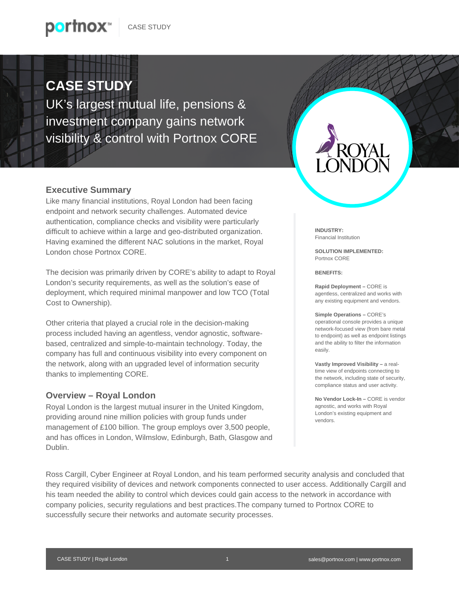## **CASE STUDY**

p<mark>ertnox</mark>™

UK's largest mutual life, pensions & investment company gains network visibility & control with Portnox CORE

## **Executive Summary**

Like many financial institutions, Royal London had been facing endpoint and network security challenges. Automated device authentication, compliance checks and visibility were particularly difficult to achieve within a large and geo-distributed organization. Having examined the different NAC solutions in the market, Royal London chose Portnox CORE.

The decision was primarily driven by CORE's ability to adapt to Royal London's security requirements, as well as the solution's ease of deployment, which required minimal manpower and low TCO (Total Cost to Ownership).

Other criteria that played a crucial role in the decision-making process included having an agentless, vendor agnostic, softwarebased, centralized and simple-to-maintain technology. Today, the company has full and continuous visibility into every component on the network, along with an upgraded level of information security thanks to implementing CORE.

## **Overview – Royal London**

Royal London is the largest mutual insurer in the United Kingdom, providing around nine million policies with group funds under management of £100 billion. The group employs over 3,500 people, and has offices in London, Wilmslow, Edinburgh, Bath, Glasgow and Dublin.

**INDUSTRY:** Financial Institution

**SOLUTION IMPLEMENTED:** Portnox CORE

**BENEFITS:**

**Rapid Deployment –** CORE is agentless, centralized and works with any existing equipment and vendors.

**Simple Operations –** CORE's operational console provides a unique network-focused view (from bare metal to endpoint) as well as endpoint listings and the ability to filter the information easily.

**Vastly Improved Visibility –** a realtime view of endpoints connecting to the network, including state of security, compliance status and user activity.

**No Vendor Lock-In –** CORE is vendor agnostic, and works with Royal London's existing equipment and vendors.

Ross Cargill, Cyber Engineer at Royal London, and his team performed security analysis and concluded that they required visibility of devices and network components connected to user access. Additionally Cargill and his team needed the ability to control which devices could gain access to the network in accordance with company policies, security regulations and best practices.The company turned to Portnox CORE to successfully secure their networks and automate security processes.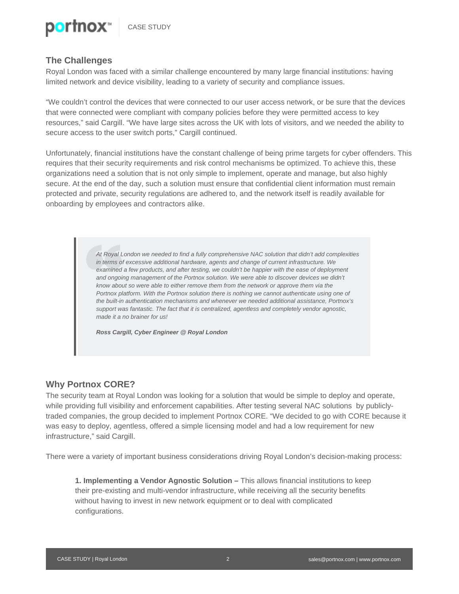

## **The Challenges**

Royal London was faced with a similar challenge encountered by many large financial institutions: having limited network and device visibility, leading to a variety of security and compliance issues.

"We couldn't control the devices that were connected to our user access network, or be sure that the devices that were connected were compliant with company policies before they were permitted access to key resources," said Cargill. "We have large sites across the UK with lots of visitors, and we needed the ability to secure access to the user switch ports," Cargill continued.

Unfortunately, financial institutions have the constant challenge of being prime targets for cyber offenders. This requires that their security requirements and risk control mechanisms be optimized. To achieve this, these organizations need a solution that is not only simple to implement, operate and manage, but also highly secure. At the end of the day, such a solution must ensure that confidential client information must remain protected and private, security regulations are adhered to, and the network itself is readily available for onboarding by employees and contractors alike.

> *At Royal London we needed to find a fully comprehensive NAC solution that didn't add complexities in terms of excessive additional hardware, agents and change of current infrastructure. We examined a few products, and after testing, we couldn't be happier with the ease of deployment and ongoing management of the Portnox solution. We were able to discover devices we didn't know about so were able to either remove them from the network or approve them via the Portnox platform. With the Portnox solution there is nothing we cannot authenticate using one of the built-in authentication mechanisms and whenever we needed additional assistance, Portnox's support was fantastic. The fact that it is centralized, agentless and completely vendor agnostic, made it a no brainer for us!*

*Ross Cargill, Cyber Engineer @ Royal London*

#### **Why Portnox CORE?**

The security team at Royal London was looking for a solution that would be simple to deploy and operate, while providing full visibility and enforcement capabilities. After testing several NAC solutions by publiclytraded companies, the group decided to implement Portnox CORE. "We decided to go with CORE because it was easy to deploy, agentless, offered a simple licensing model and had a low requirement for new infrastructure," said Cargill.

There were a variety of important business considerations driving Royal London's decision-making process:

**1. Implementing a Vendor Agnostic Solution –** This allows financial institutions to keep their pre-existing and multi-vendor infrastructure, while receiving all the security benefits without having to invest in new network equipment or to deal with complicated configurations.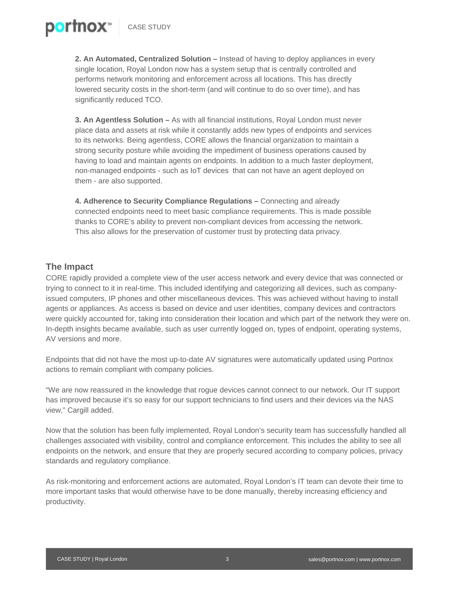**2. An Automated, Centralized Solution –** Instead of having to deploy appliances in every single location, Royal London now has a system setup that is centrally controlled and performs network monitoring and enforcement across all locations. This has directly lowered security costs in the short-term (and will continue to do so over time), and has significantly reduced TCO.

**3. An Agentless Solution –** As with all financial institutions, Royal London must never place data and assets at risk while it constantly adds new types of endpoints and services to its networks. Being agentless, CORE allows the financial organization to maintain a strong security posture while avoiding the impediment of business operations caused by having to load and maintain agents on endpoints. In addition to a much faster deployment, non-managed endpoints - such as IoT devices that can not have an agent deployed on them - are also supported.

**4. Adherence to Security Compliance Regulations –** Connecting and already connected endpoints need to meet basic compliance requirements. This is made possible thanks to CORE's ability to prevent non-compliant devices from accessing the network. This also allows for the preservation of customer trust by protecting data privacy.

#### **The Impact**

p<mark>o</mark>rtnox™

CORE rapidly provided a complete view of the user access network and every device that was connected or trying to connect to it in real-time. This included identifying and categorizing all devices, such as companyissued computers, IP phones and other miscellaneous devices. This was achieved without having to install agents or appliances. As access is based on device and user identities, company devices and contractors were quickly accounted for, taking into consideration their location and which part of the network they were on. In-depth insights became available, such as user currently logged on, types of endpoint, operating systems, AV versions and more.

Endpoints that did not have the most up-to-date AV signatures were automatically updated using Portnox actions to remain compliant with company policies.

"We are now reassured in the knowledge that rogue devices cannot connect to our network. Our IT support has improved because it's so easy for our support technicians to find users and their devices via the NAS view," Cargill added.

Now that the solution has been fully implemented, Royal London's security team has successfully handled all challenges associated with visibility, control and compliance enforcement. This includes the ability to see all endpoints on the network, and ensure that they are properly secured according to company policies, privacy standards and regulatory compliance.

As risk-monitoring and enforcement actions are automated, Royal London's IT team can devote their time to more important tasks that would otherwise have to be done manually, thereby increasing efficiency and productivity.